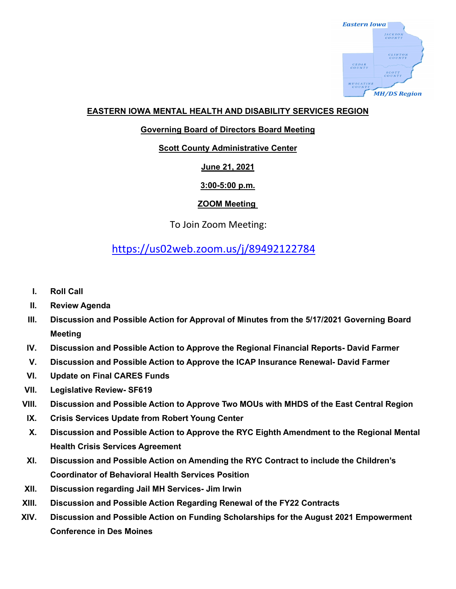

## **EASTERN IOWA MENTAL HEALTH AND DISABILITY SERVICES REGION**

#### **Governing Board of Directors Board Meeting**

#### **Scott County Administrative Center**

# **June 21, 2021**

## **3:00-5:00 p.m.**

# **ZOOM Meeting**

To Join Zoom Meeting:

# <https://us02web.zoom.us/j/89492122784>

- **I. Roll Call**
- **II. Review Agenda**
- **III. Discussion and Possible Action for Approval of Minutes from the 5/17/2021 Governing Board Meeting**
- **IV. Discussion and Possible Action to Approve the Regional Financial Reports- David Farmer**
- **V. Discussion and Possible Action to Approve the ICAP Insurance Renewal- David Farmer**
- **VI. Update on Final CARES Funds**
- **VII. Legislative Review- SF619**
- **VIII. Discussion and Possible Action to Approve Two MOUs with MHDS of the East Central Region**
- **IX. Crisis Services Update from Robert Young Center**
- **X. Discussion and Possible Action to Approve the RYC Eighth Amendment to the Regional Mental Health Crisis Services Agreement**
- **XI. Discussion and Possible Action on Amending the RYC Contract to include the Children's Coordinator of Behavioral Health Services Position**
- **XII. Discussion regarding Jail MH Services- Jim Irwin**
- **XIII. Discussion and Possible Action Regarding Renewal of the FY22 Contracts**
- **XIV. Discussion and Possible Action on Funding Scholarships for the August 2021 Empowerment Conference in Des Moines**